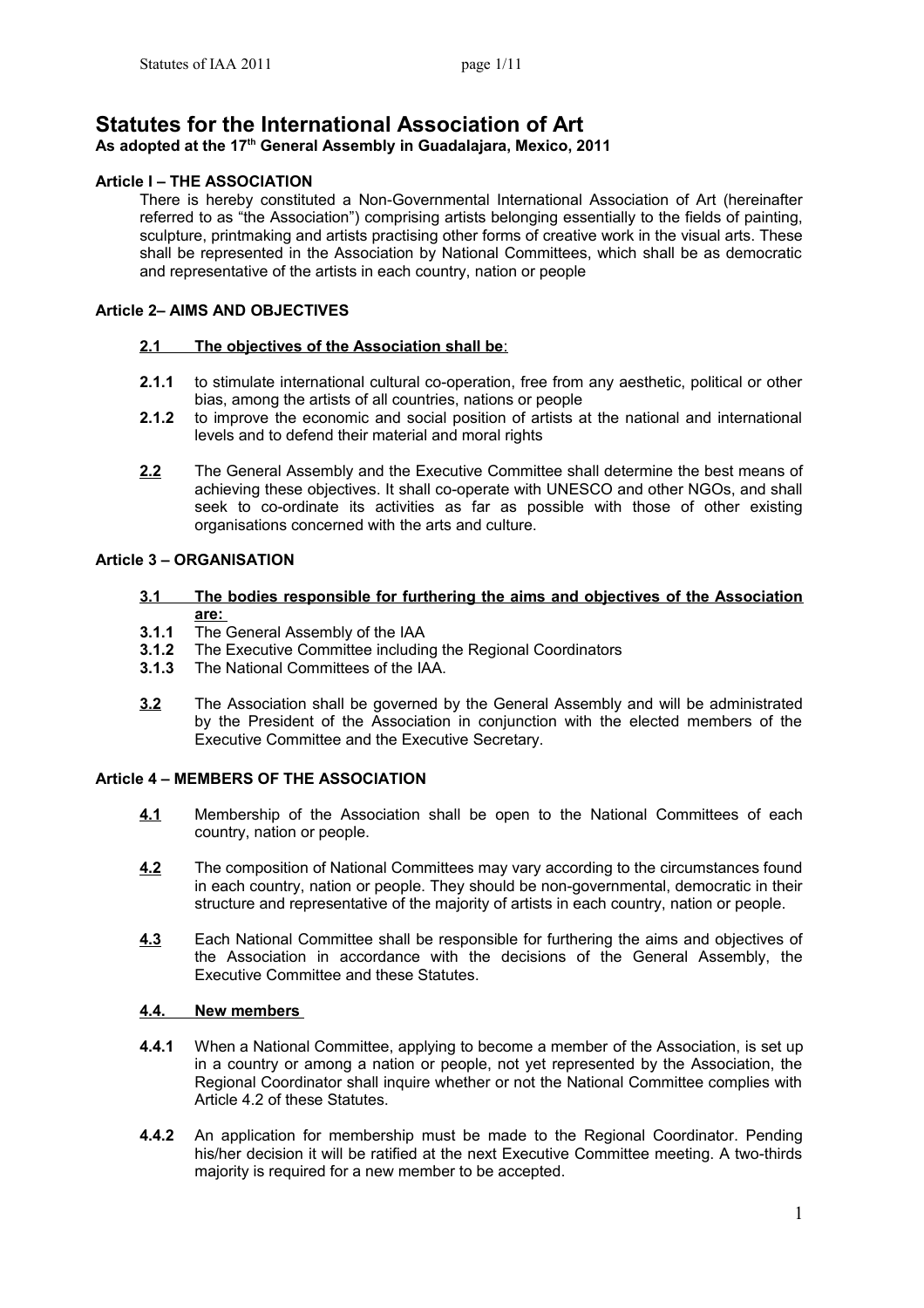# **Statutes for the International Association of Art**

# **As adopted at the 17th General Assembly in Guadalajara, Mexico, 2011**

# **Article Ι – THE ASSOCIATION**

There is hereby constituted a Non-Governmental International Association of Art (hereinafter referred to as "the Association") comprising artists belonging essentially to the fields of painting, sculpture, printmaking and artists practising other forms of creative work in the visual arts. These shall be represented in the Association by National Committees, which shall be as democratic and representative of the artists in each country, nation or people

### **Article 2– AIMS AND OBJECTIVES**

### **2.1 The objectives of the Association shall be**:

- **2.1.1** to stimulate international cultural co-operation, free from any aesthetic, political or other bias, among the artists of all countries, nations or people
- **2.1.2** to improve the economic and social position of artists at the national and international levels and to defend their material and moral rights
- **2.2** The General Assembly and the Executive Committee shall determine the best means of achieving these objectives. It shall co-operate with UNESCO and other NGOs, and shall seek to co-ordinate its activities as far as possible with those of other existing organisations concerned with the arts and culture.

# **Article 3 – ORGANISATION**

- **3.1 The bodies responsible for furthering the aims and objectives of the Association are:**
- **3.1.1** Τhe General Assembly of the IAA
- **3.1.2** The Executive Committee including the Regional Coordinators
- **3.1.3** The National Committees of the IAA.
- **3.2** The Association shall be governed by the General Assembly and will be administrated by the President of the Association in conjunction with the elected members of the Executive Committee and the Executive Secretary.

### **Article 4 – MEMBERS OF THE ASSOCIATION**

- **4.1** Membership of the Association shall be open to the National Committees of each country, nation or people.
- **4.2** The composition of National Committees may vary according to the circumstances found in each country, nation or people. They should be non-governmental, democratic in their structure and representative of the majority of artists in each country, nation or people.
- **4.3** Each National Committee shall be responsible for furthering the aims and objectives of the Association in accordance with the decisions of the General Assembly, the Executive Committee and these Statutes.

### **4.4. New members**

- **4.4.1** When a National Committee, applying to become a member of the Association, is set up in a country or among a nation or people, not yet represented by the Association, the Regional Coordinator shall inquire whether or not the National Committee complies with Article 4.2 of these Statutes.
- **4.4.2** An application for membership must be made to the Regional Coordinator. Pending his/her decision it will be ratified at the next Executive Committee meeting. A two-thirds majority is required for a new member to be accepted.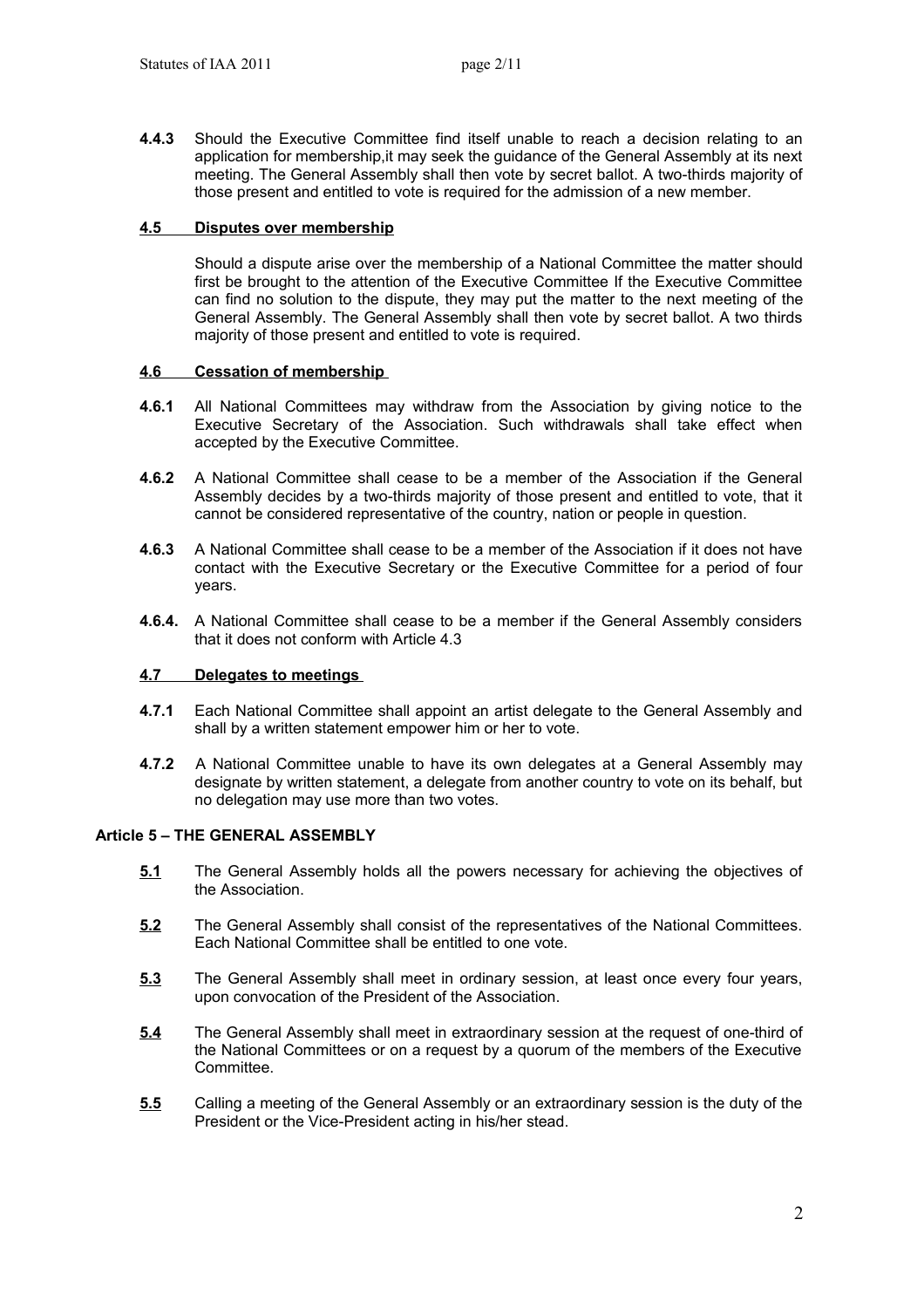**4.4.3** Should the Executive Committee find itself unable to reach a decision relating to an application for membership,it may seek the guidance of the General Assembly at its next meeting. The General Assembly shall then vote by secret ballot. A two-thirds majority of those present and entitled to vote is required for the admission of a new member.

### **4.5 Disputes over membership**

Should a dispute arise over the membership of a National Committee the matter should first be brought to the attention of the Executive Committee If the Executive Committee can find no solution to the dispute, they may put the matter to the next meeting of the General Assembly. The General Assembly shall then vote by secret ballot. A two thirds majority of those present and entitled to vote is required.

### **4.6 Cessation of membership**

- **4.6.1** All National Committees may withdraw from the Association by giving notice to the Executive Secretary of the Association. Such withdrawals shall take effect when accepted by the Executive Committee.
- **4.6.2** A National Committee shall cease to be a member of the Association if the General Assembly decides by a two-thirds majority of those present and entitled to vote, that it cannot be considered representative of the country, nation or people in question.
- **4.6.3** A National Committee shall cease to be a member of the Association if it does not have contact with the Executive Secretary or the Executive Committee for a period of four years.
- **4.6.4.** A National Committee shall cease to be a member if the General Assembly considers that it does not conform with Article 4.3

### **4.7 Delegates to meetings**

- **4.7.1** Each National Committee shall appoint an artist delegate to the General Assembly and shall by a written statement empower him or her to vote.
- **4.7.2** A National Committee unable to have its own delegates at a General Assembly may designate by written statement, a delegate from another country to vote on its behalf, but no delegation may use more than two votes.

# **Article 5 – THE GENERAL ASSEMBLY**

- **5.1** The General Assembly holds all the powers necessary for achieving the objectives of the Association.
- **5.2** The General Assembly shall consist of the representatives of the National Committees. Each National Committee shall be entitled to one vote.
- **5.3** The General Assembly shall meet in ordinary session, at least once every four years, upon convocation of the President of the Association.
- **5.4** The General Assembly shall meet in extraordinary session at the request of one-third of the National Committees or on a request by a quorum of the members of the Executive Committee.
- **5.5** Calling a meeting of the General Assembly or an extraordinary session is the duty of the President or the Vice-President acting in his/her stead.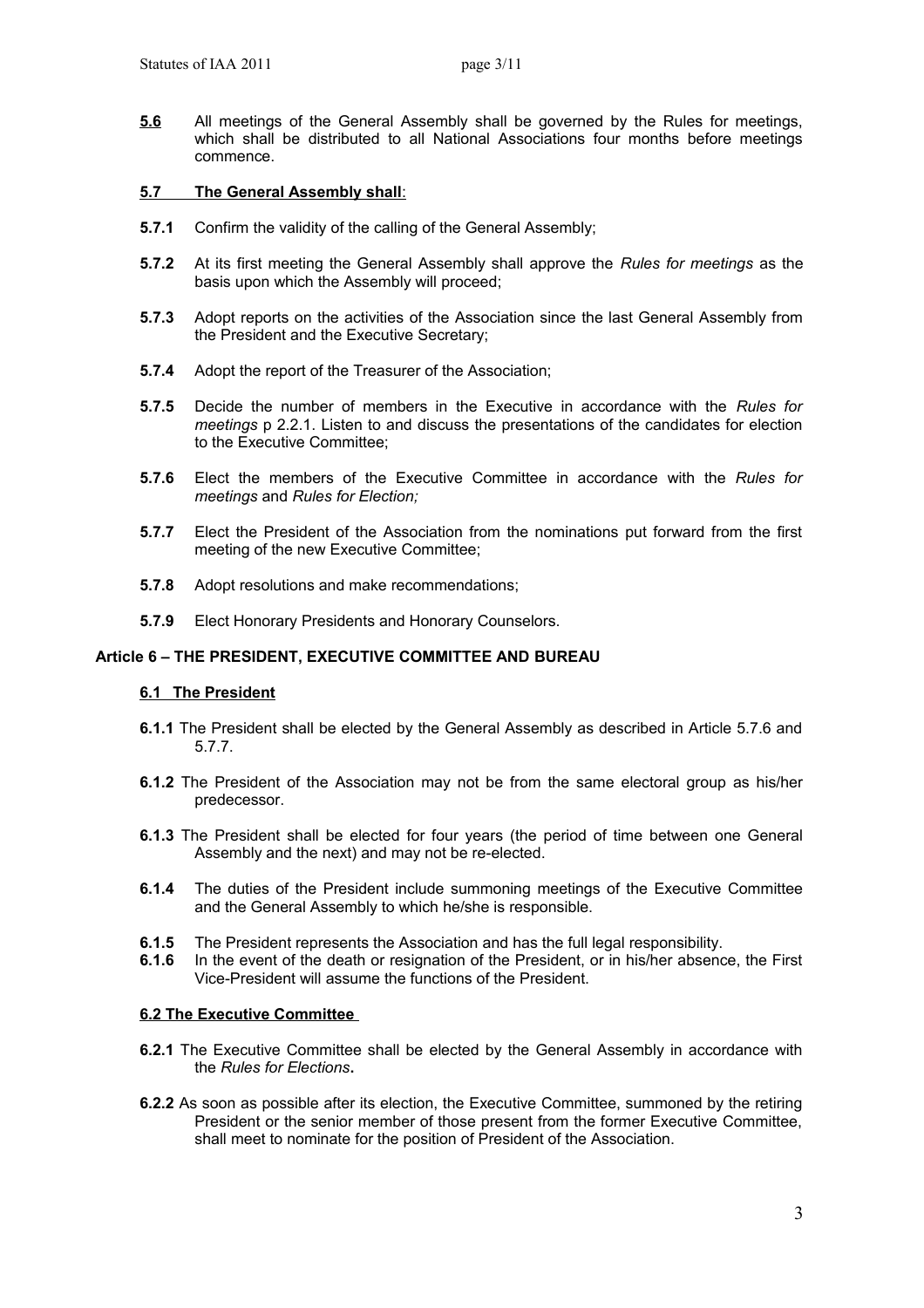**5.6** All meetings of the General Assembly shall be governed by the Rules for meetings, which shall be distributed to all National Associations four months before meetings commence.

### **5.7 The General Assembly shall**:

- **5.7.1** Confirm the validity of the calling of the General Assembly;
- **5.7.2** At its first meeting the General Assembly shall approve the *Rules for meetings* as the basis upon which the Assembly will proceed;
- **5.7.3** Adopt reports on the activities of the Association since the last General Assembly from the President and the Executive Secretary;
- **5.7.4** Adopt the report of the Treasurer of the Association;
- **5.7.5** Decide the number of members in the Executive in accordance with the *Rules for meetings* p 2.2.1. Listen to and discuss the presentations of the candidates for election to the Executive Committee;
- **5.7.6** Elect the members of the Executive Committee in accordance with the *Rules for meetings* and *Rules for Election;*
- **5.7.7** Elect the President of the Association from the nominations put forward from the first meeting of the new Executive Committee;
- **5.7.8** Adopt resolutions and make recommendations;
- **5.7.9** Elect Honorary Presidents and Honorary Counselors.

### **Article 6 – THE PRESIDENT, EXECUTIVE COMMITTEE AND BUREAU**

### **6.1 The President**

- **6.1.1** The President shall be elected by the General Assembly as described in Article 5.7.6 and 5.7.7.
- **6.1.2** The President of the Association may not be from the same electoral group as his/her predecessor.
- **6.1.3** The President shall be elected for four years (the period of time between one General Assembly and the next) and may not be re-elected.
- **6.1.4** The duties of the President include summoning meetings of the Executive Committee and the General Assembly to which he/she is responsible.
- **6.1.5** The President represents the Association and has the full legal responsibility.
- **6.1.6** In the event of the death or resignation of the President, or in his/her absence, the First Vice-President will assume the functions of the President.

### **6.2 The Executive Committee**

- **6.2.1** The Executive Committee shall be elected by the General Assembly in accordance with the *Rules for Elections***.**
- **6.2.2** As soon as possible after its election, the Executive Committee, summoned by the retiring President or the senior member of those present from the former Executive Committee, shall meet to nominate for the position of President of the Association.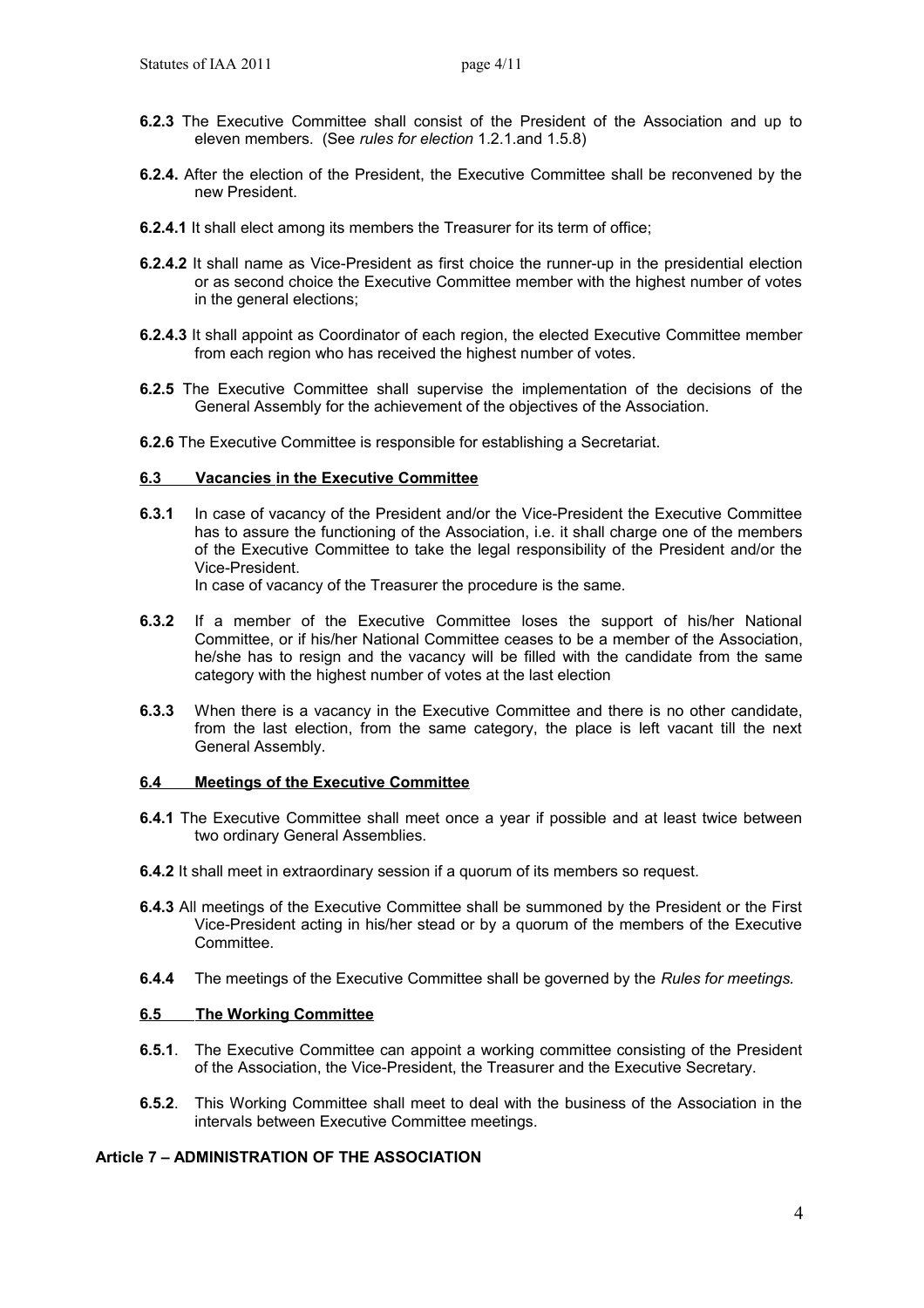- **6.2.3** The Executive Committee shall consist of the President of the Association and up to eleven members. (See *rules for election* 1.2.1.and 1.5.8)
- **6.2.4.** After the election of the President, the Executive Committee shall be reconvened by the new President.
- **6.2.4.1** It shall elect among its members the Treasurer for its term of office;
- **6.2.4.2** It shall name as Vice-President as first choice the runner-up in the presidential election or as second choice the Executive Committee member with the highest number of votes in the general elections;
- **6.2.4.3** It shall appoint as Coordinator of each region, the elected Executive Committee member from each region who has received the highest number of votes.
- **6.2.5** The Executive Committee shall supervise the implementation of the decisions of the General Assembly for the achievement of the objectives of the Association.
- **6.2.6** The Executive Committee is responsible for establishing a Secretariat.

#### **6 .3 Vacancies in the Executive Committee**

**6.3.1** In case of vacancy of the President and/or the Vice-President the Executive Committee has to assure the functioning of the Association, i.e. it shall charge one of the members of the Executive Committee to take the legal responsibility of the President and/or the Vice-President.

In case of vacancy of the Treasurer the procedure is the same.

- **6.3.2** If a member of the Executive Committee loses the support of his/her National Committee, or if his/her National Committee ceases to be a member of the Association, he/she has to resign and the vacancy will be filled with the candidate from the same category with the highest number of votes at the last election
- **6.3.3** When there is a vacancy in the Executive Committee and there is no other candidate, from the last election, from the same category, the place is left vacant till the next General Assembly.

#### **6.4 Meetings of the Executive Committee**

- **6.4.1** The Executive Committee shall meet once a year if possible and at least twice between two ordinary General Assemblies.
- **6.4.2** It shall meet in extraordinary session if a quorum of its members so request.
- **6.4.3** All meetings of the Executive Committee shall be summoned by the President or the First Vice-President acting in his/her stead or by a quorum of the members of the Executive Committee.
- **6.4.4** The meetings of the Executive Committee shall be governed by the *Rules for meetings.*

### **6.5 The Working Committee**

- **6.5.1**. The Executive Committee can appoint a working committee consisting of the President of the Association, the Vice-President, the Treasurer and the Executive Secretary.
- **6.5.2**. This Working Committee shall meet to deal with the business of the Association in the intervals between Executive Committee meetings.

### **Article 7 – ADMINISTRATION OF THE ASSOCIATION**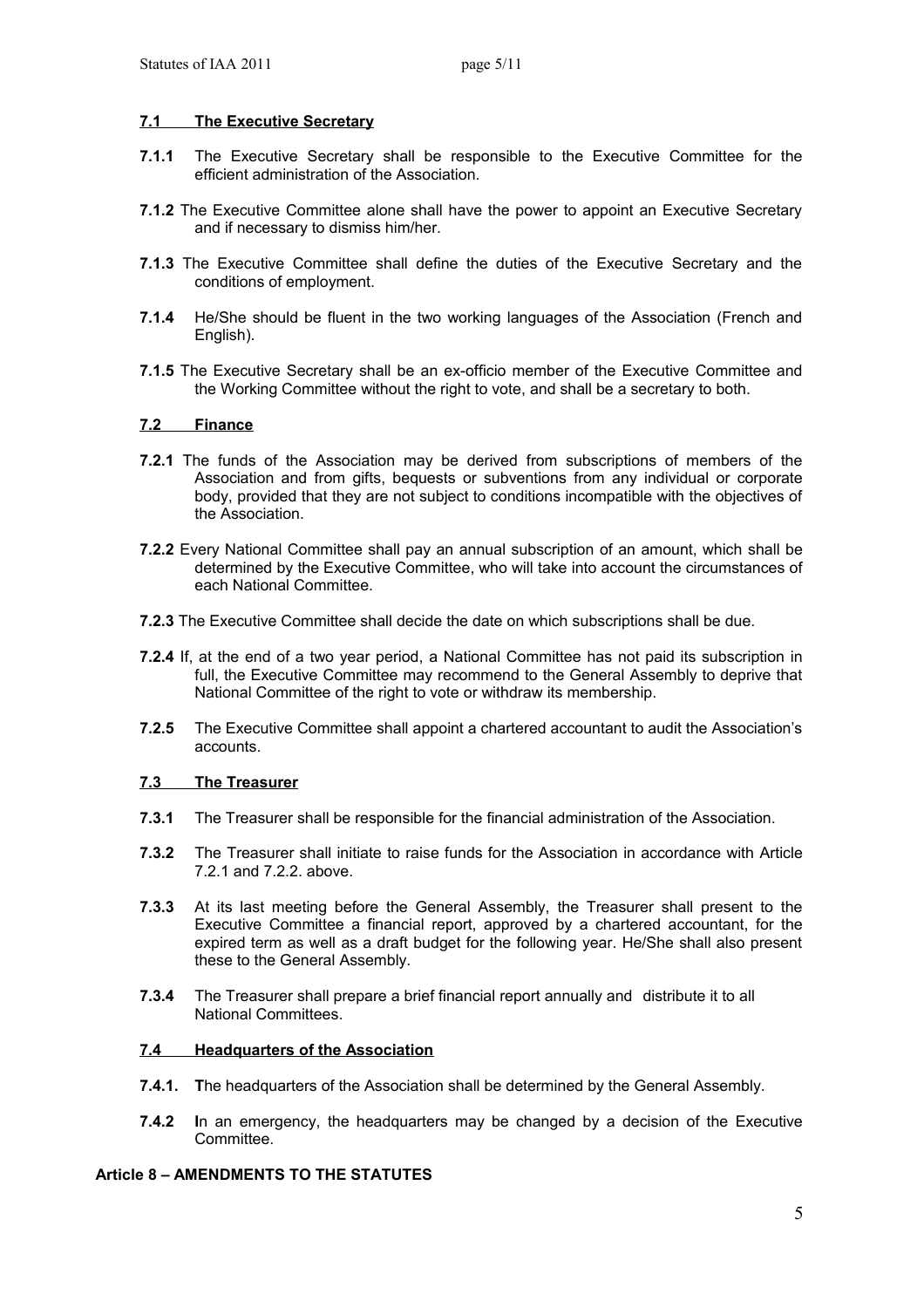# **7.1 The Executive Secretary**

- **7.1.1** The Executive Secretary shall be responsible to the Executive Committee for the efficient administration of the Association.
- **7.1.2** The Executive Committee alone shall have the power to appoint an Executive Secretary and if necessary to dismiss him/her.
- **7.1.3** The Executive Committee shall define the duties of the Executive Secretary and the conditions of employment.
- **7.1.4** He/She should be fluent in the two working languages of the Association (French and English).
- **7.1.5** The Executive Secretary shall be an ex-officio member of the Executive Committee and the Working Committee without the right to vote, and shall be a secretary to both.

### **7.2 Finance**

- **7.2.1** The funds of the Association may be derived from subscriptions of members of the Association and from gifts, bequests or subventions from any individual or corporate body, provided that they are not subject to conditions incompatible with the objectives of the Association.
- **7.2.2** Every National Committee shall pay an annual subscription of an amount, which shall be determined by the Executive Committee, who will take into account the circumstances of each National Committee.
- **7.2.3** The Executive Committee shall decide the date on which subscriptions shall be due.
- **7.2.4** If, at the end of a two year period, a National Committee has not paid its subscription in full, the Executive Committee may recommend to the General Assembly to deprive that National Committee of the right to vote or withdraw its membership.
- **7.2.5** The Executive Committee shall appoint a chartered accountant to audit the Association's accounts.

### **7.3 The Treasurer**

- **7.3.1** The Treasurer shall be responsible for the financial administration of the Association.
- **7.3.2** The Treasurer shall initiate to raise funds for the Association in accordance with Article 7.2.1 and 7.2.2. above.
- **7.3.3** At its last meeting before the General Assembly, the Treasurer shall present to the Executive Committee a financial report, approved by a chartered accountant, for the expired term as well as a draft budget for the following year. He/She shall also present these to the General Assembly.
- **7.3.4** The Treasurer shall prepare a brief financial report annually and distribute it to all National Committees.

### **7.4 Headquarters of the Association**

- **7.4.1. T**he headquarters of the Association shall be determined by the General Assembly.
- **7.4.2 I**n an emergency, the headquarters may be changed by a decision of the Executive **Committee.**

### **Article 8 – AMENDMENTS TO THE STATUTES**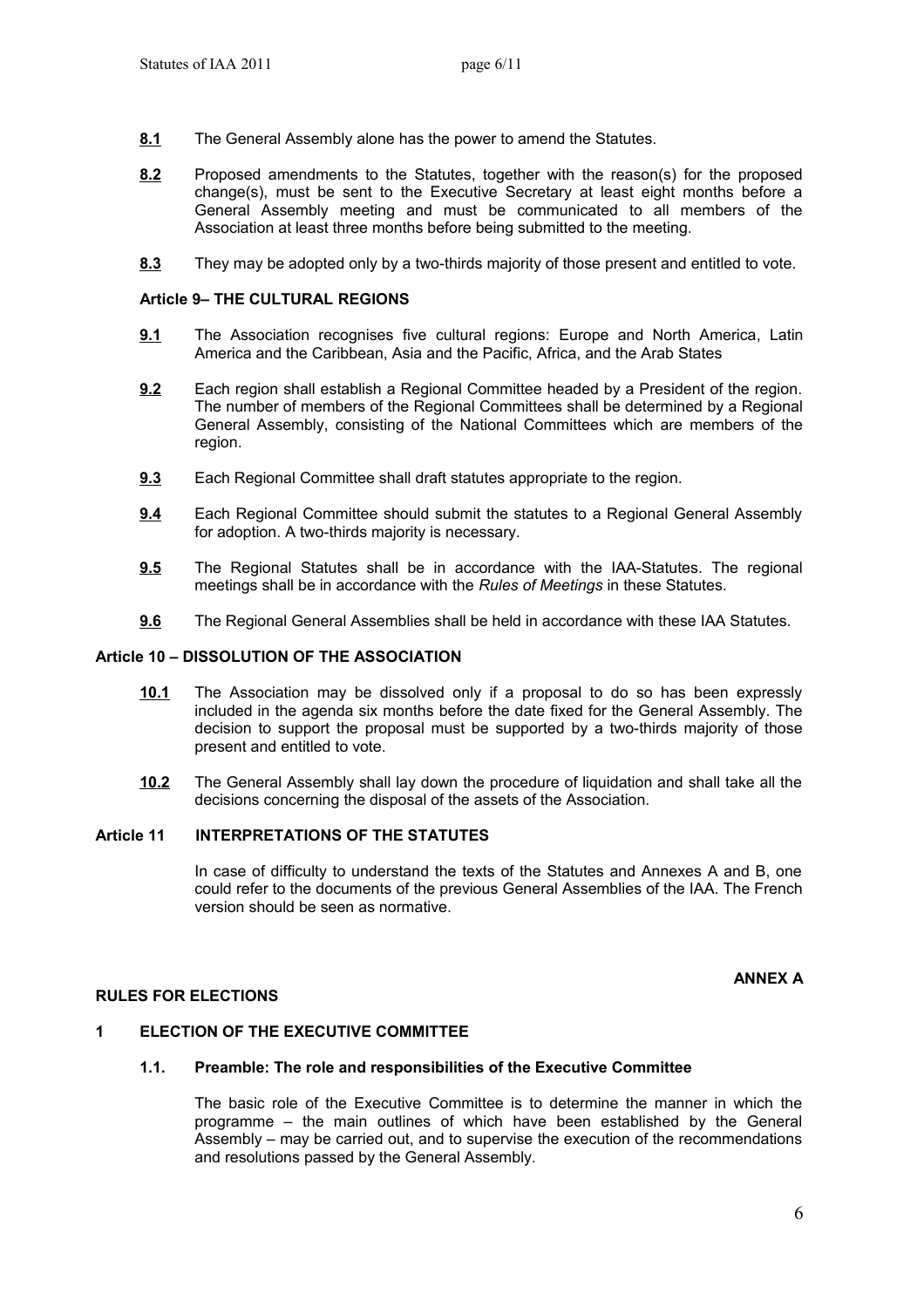- **8.1** The General Assembly alone has the power to amend the Statutes.
- **8.2** Proposed amendments to the Statutes, together with the reason(s) for the proposed change(s), must be sent to the Executive Secretary at least eight months before a General Assembly meeting and must be communicated to all members of the Association at least three months before being submitted to the meeting.
- **8.3** They may be adopted only by a two-thirds majority of those present and entitled to vote.

### **Article 9– THE CULTURAL REGIONS**

- **9.1** The Association recognises five cultural regions: Europe and North America, Latin America and the Caribbean, Asia and the Pacific, Africa, and the Arab States
- **9.2** Each region shall establish a Regional Committee headed by a President of the region. The number of members of the Regional Committees shall be determined by a Regional General Assembly, consisting of the National Committees which are members of the region.
- **9.3** Each Regional Committee shall draft statutes appropriate to the region.
- **9.4** Each Regional Committee should submit the statutes to a Regional General Assembly for adoption. A two-thirds majority is necessary.
- **9.5** The Regional Statutes shall be in accordance with the IAA-Statutes. The regional meetings shall be in accordance with the *Rules of Meetings* in these Statutes.
- **9.6** The Regional General Assemblies shall be held in accordance with these IAA Statutes.

### **Article 10 – DISSOLUTION OF THE ASSOCIATION**

- **10.1** The Association may be dissolved only if a proposal to do so has been expressly included in the agenda six months before the date fixed for the General Assembly. The decision to support the proposal must be supported by a two-thirds majority of those present and entitled to vote.
- **10.2** The General Assembly shall lay down the procedure of liquidation and shall take all the decisions concerning the disposal of the assets of the Association.

### **Article 11 INTERPRETATIONS OF THE STATUTES**

In case of difficulty to understand the texts of the Statutes and Annexes A and B, one could refer to the documents of the previous General Assemblies of the IAA. The French version should be seen as normative.

#### **ANNEX A**

### **RULES FOR ELECTIONS**

### **1 ELECTION OF THE EXECUTIVE COMMITTEE**

#### **1.1. Preamble: The role and responsibilities of the Executive Committee**

The basic role of the Executive Committee is to determine the manner in which the programme – the main outlines of which have been established by the General Assembly – may be carried out, and to supervise the execution of the recommendations and resolutions passed by the General Assembly.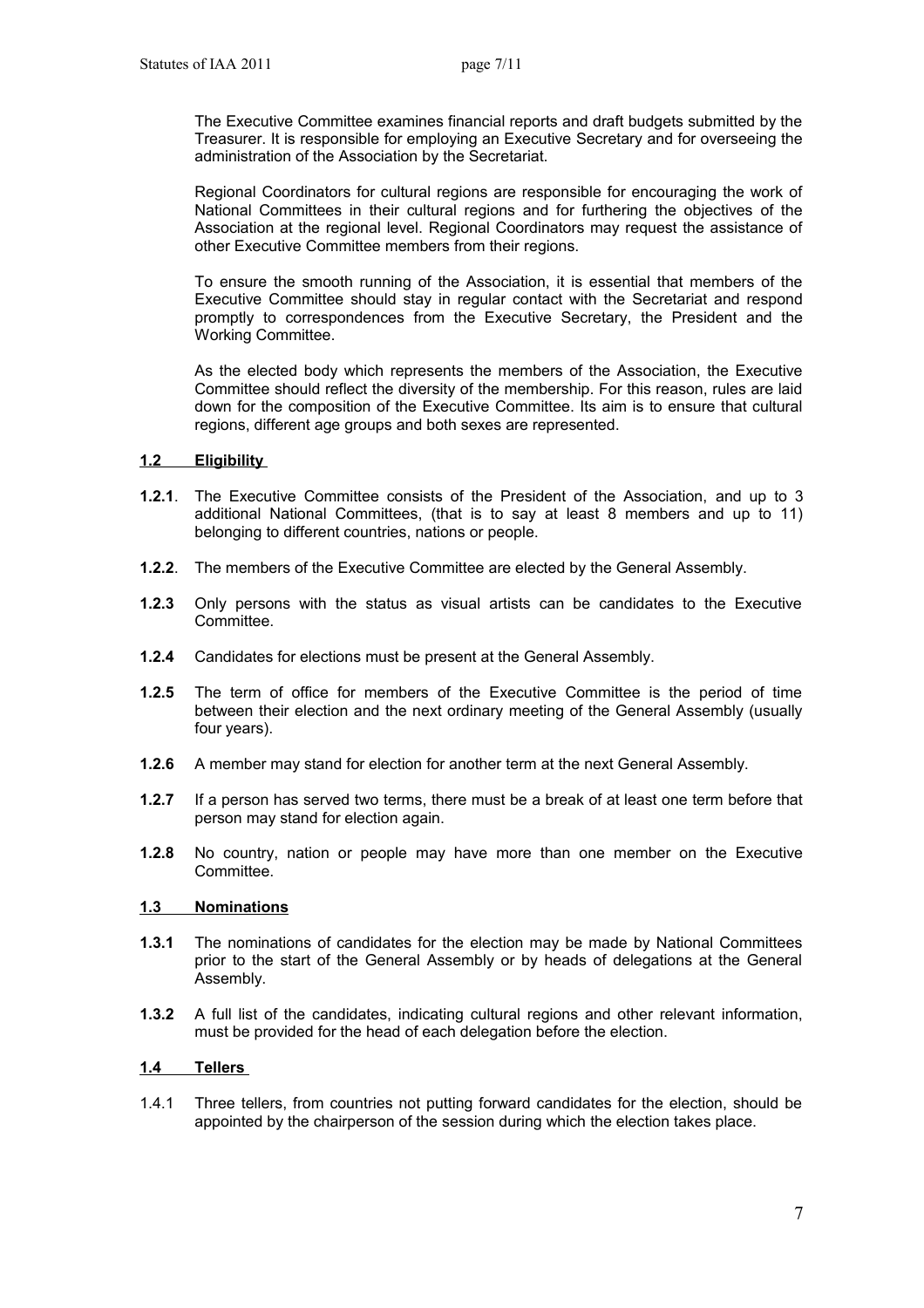The Executive Committee examines financial reports and draft budgets submitted by the Treasurer. It is responsible for employing an Executive Secretary and for overseeing the administration of the Association by the Secretariat.

Regional Coordinators for cultural regions are responsible for encouraging the work of National Committees in their cultural regions and for furthering the objectives of the Association at the regional level. Regional Coordinators may request the assistance of other Executive Committee members from their regions.

To ensure the smooth running of the Association, it is essential that members of the Executive Committee should stay in regular contact with the Secretariat and respond promptly to correspondences from the Executive Secretary, the President and the Working Committee.

As the elected body which represents the members of the Association, the Executive Committee should reflect the diversity of the membership. For this reason, rules are laid down for the composition of the Executive Committee. Its aim is to ensure that cultural regions, different age groups and both sexes are represented.

### **1.2 Eligibility**

- **1.2.1**. The Executive Committee consists of the President of the Association, and up to 3 additional National Committees, (that is to say at least 8 members and up to 11) belonging to different countries, nations or people.
- **1.2.2**. The members of the Executive Committee are elected by the General Assembly.
- **1.2.3** Only persons with the status as visual artists can be candidates to the Executive Committee.
- **1.2.4** Candidates for elections must be present at the General Assembly.
- **1.2.5** The term of office for members of the Executive Committee is the period of time between their election and the next ordinary meeting of the General Assembly (usually four years).
- **1.2.6** A member may stand for election for another term at the next General Assembly.
- **1.2.7** If a person has served two terms, there must be a break of at least one term before that person may stand for election again.
- **1.2.8** No country, nation or people may have more than one member on the Executive Committee.

### **1.3 Nominations**

- **1.3.1** The nominations of candidates for the election may be made by National Committees prior to the start of the General Assembly or by heads of delegations at the General Assembly.
- **1.3.2** A full list of the candidates, indicating cultural regions and other relevant information, must be provided for the head of each delegation before the election.

### **1.4 Tellers**

1.4.1 Three tellers, from countries not putting forward candidates for the election, should be appointed by the chairperson of the session during which the election takes place.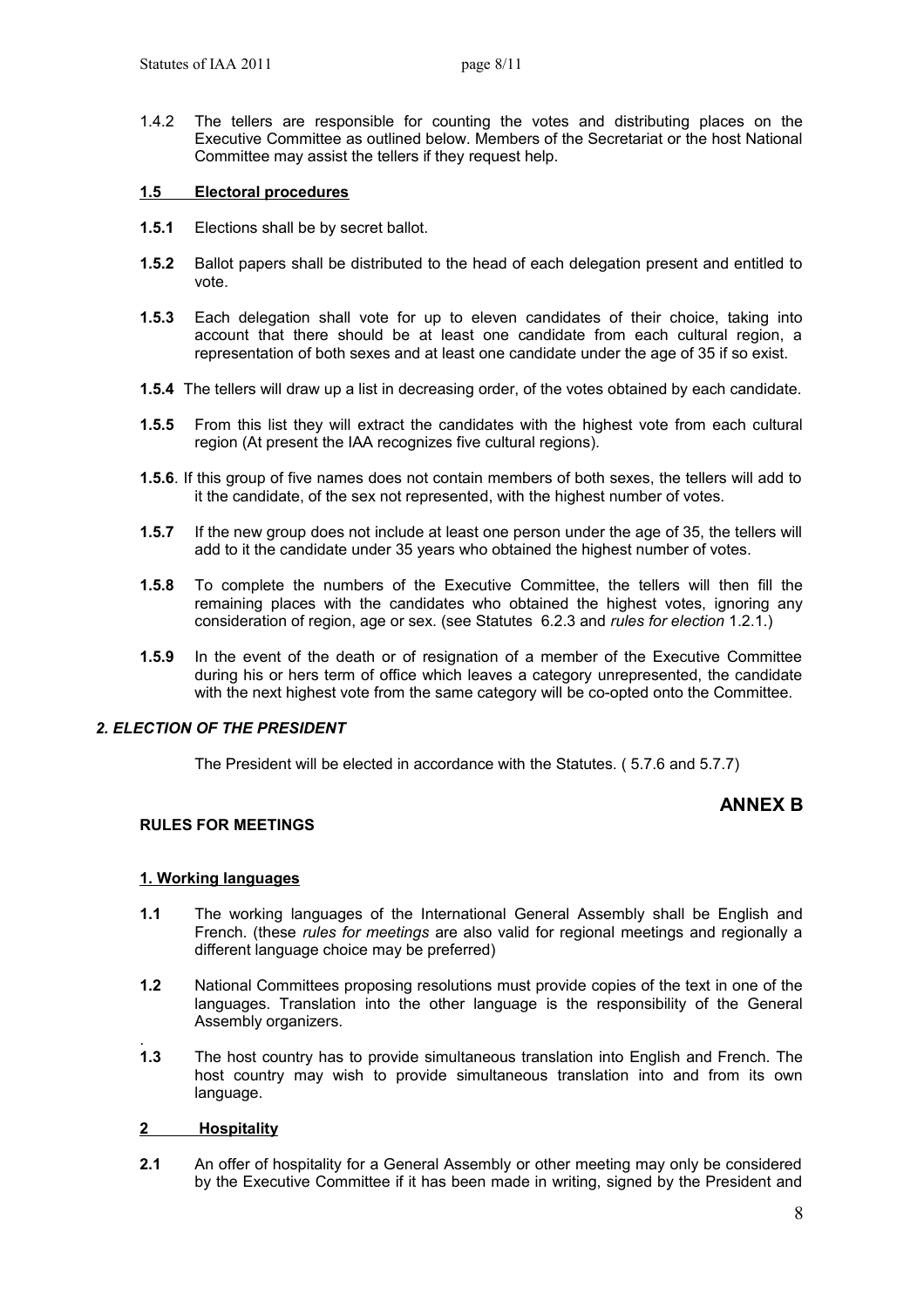1.4.2 The tellers are responsible for counting the votes and distributing places on the Executive Committee as outlined below. Members of the Secretariat or the host National Committee may assist the tellers if they request help.

### **1.5 Electoral procedures**

- **1.5.1** Elections shall be by secret ballot.
- **1.5.2** Ballot papers shall be distributed to the head of each delegation present and entitled to vote.
- **1.5.3** Each delegation shall vote for up to eleven candidates of their choice, taking into account that there should be at least one candidate from each cultural region, a representation of both sexes and at least one candidate under the age of 35 if so exist.
- **1.5.4** The tellers will draw up a list in decreasing order, of the votes obtained by each candidate.
- **1.5.5** From this list they will extract the candidates with the highest vote from each cultural region (At present the IAA recognizes five cultural regions).
- **1.5.6**. If this group of five names does not contain members of both sexes, the tellers will add to it the candidate, of the sex not represented, with the highest number of votes.
- **1.5.7** If the new group does not include at least one person under the age of 35, the tellers will add to it the candidate under 35 years who obtained the highest number of votes.
- **1.5.8** To complete the numbers of the Executive Committee, the tellers will then fill the remaining places with the candidates who obtained the highest votes, ignoring any consideration of region, age or sex. (see Statutes 6.2.3 and *rules for election* 1.2.1.)
- **1.5.9** In the event of the death or of resignation of a member of the Executive Committee during his or hers term of office which leaves a category unrepresented, the candidate with the next highest vote from the same category will be co-opted onto the Committee.

# *2. ELECTION OF THE PRESIDENT*

The President will be elected in accordance with the Statutes. ( 5.7.6 and 5.7.7)

# **ANNEX B**

### **RULES FOR MEETINGS**

### **1. Working languages**

- **1.1** The working languages of the International General Assembly shall be English and French. (these *rules for meetings* are also valid for regional meetings and regionally a different language choice may be preferred)
- **1.2** National Committees proposing resolutions must provide copies of the text in one of the languages. Translation into the other language is the responsibility of the General Assembly organizers.
- . **1.3** The host country has to provide simultaneous translation into English and French. The host country may wish to provide simultaneous translation into and from its own language.

### **2 Hospitality**

**2.1** An offer of hospitality for a General Assembly or other meeting may only be considered by the Executive Committee if it has been made in writing, signed by the President and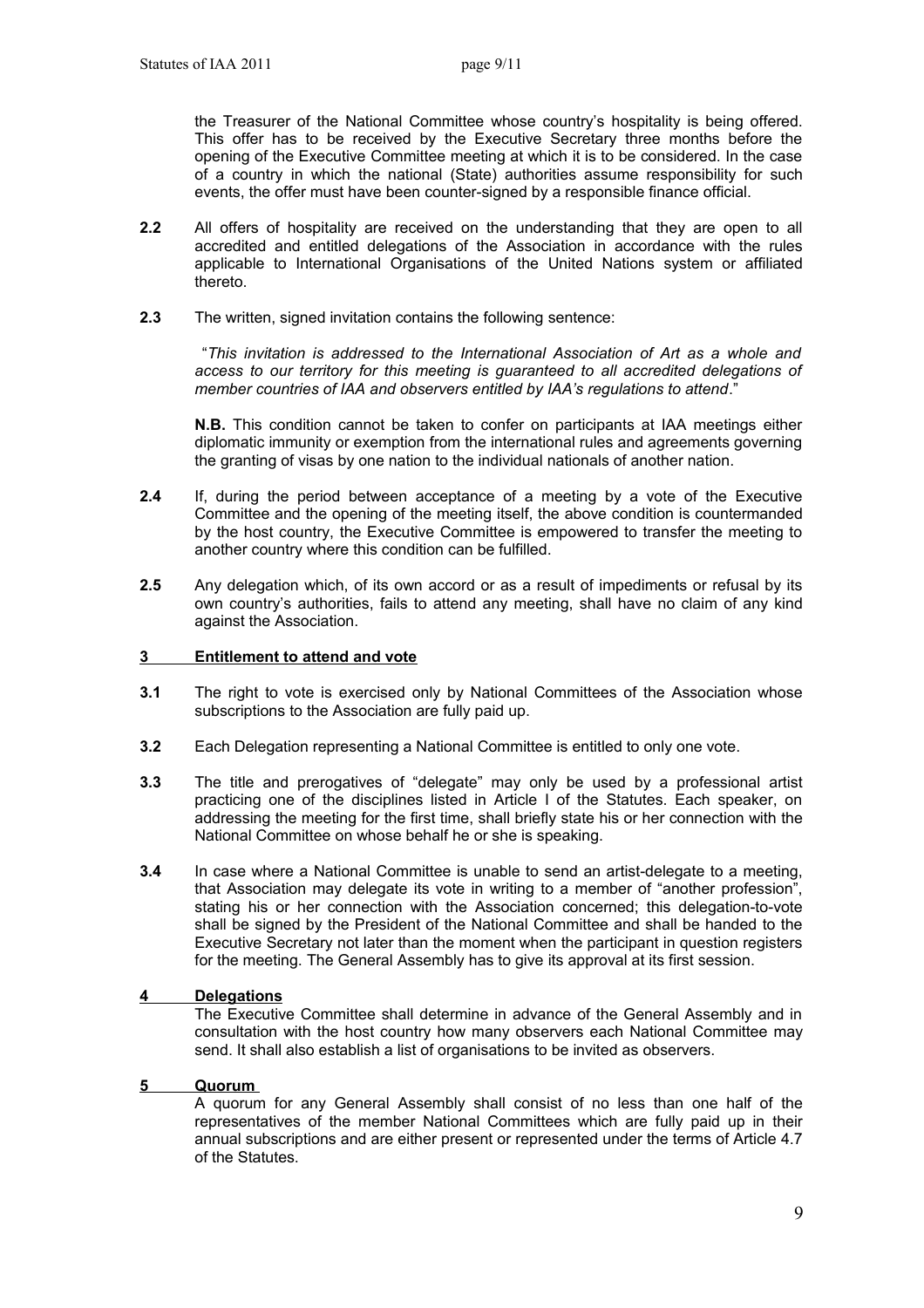the Treasurer of the National Committee whose country's hospitality is being offered. This offer has to be received by the Executive Secretary three months before the opening of the Executive Committee meeting at which it is to be considered. In the case of a country in which the national (State) authorities assume responsibility for such events, the offer must have been counter-signed by a responsible finance official.

- **2.2** All offers of hospitality are received on the understanding that they are open to all accredited and entitled delegations of the Association in accordance with the rules applicable to International Organisations of the United Nations system or affiliated thereto.
- **2.3** The written, signed invitation contains the following sentence:

 "*This invitation is addressed to the International Association of Art as a whole and access to our territory for this meeting is guaranteed to all accredited delegations of member countries of IAA and observers entitled by IAA's regulations to attend*."

 **N.B.** This condition cannot be taken to confer on participants at IAA meetings either diplomatic immunity or exemption from the international rules and agreements governing the granting of visas by one nation to the individual nationals of another nation.

- **2.4** If, during the period between acceptance of a meeting by a vote of the Executive Committee and the opening of the meeting itself, the above condition is countermanded by the host country, the Executive Committee is empowered to transfer the meeting to another country where this condition can be fulfilled.
- **2.5** Any delegation which, of its own accord or as a result of impediments or refusal by its own country's authorities, fails to attend any meeting, shall have no claim of any kind against the Association.

#### **3 Entitlement to attend and vote**

- **3.1** The right to vote is exercised only by National Committees of the Association whose subscriptions to the Association are fully paid up.
- **3.2** Each Delegation representing a National Committee is entitled to only one vote.
- **3.3** The title and prerogatives of "delegate" may only be used by a professional artist practicing one of the disciplines listed in Article I of the Statutes. Each speaker, on addressing the meeting for the first time, shall briefly state his or her connection with the National Committee on whose behalf he or she is speaking.
- **3.4** In case where a National Committee is unable to send an artist-delegate to a meeting, that Association may delegate its vote in writing to a member of "another profession", stating his or her connection with the Association concerned; this delegation-to-vote shall be signed by the President of the National Committee and shall be handed to the Executive Secretary not later than the moment when the participant in question registers for the meeting. The General Assembly has to give its approval at its first session.

#### **4 Delegations**

The Executive Committee shall determine in advance of the General Assembly and in consultation with the host country how many observers each National Committee may send. It shall also establish a list of organisations to be invited as observers.

### **5 Quorum**

A quorum for any General Assembly shall consist of no less than one half of the representatives of the member National Committees which are fully paid up in their annual subscriptions and are either present or represented under the terms of Article 4.7 of the Statutes.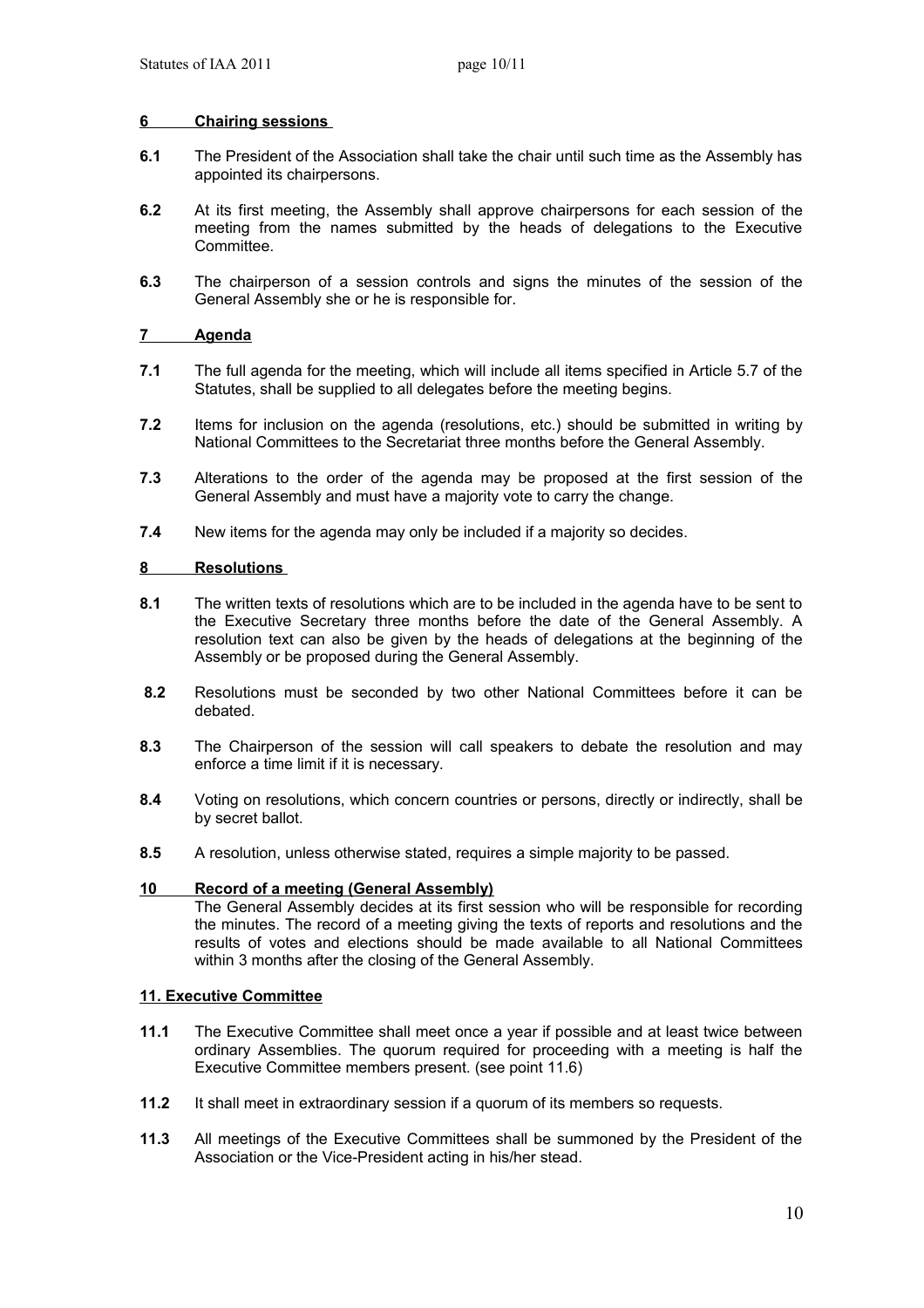### **6 Chairing sessions**

- **6.1** The President of the Association shall take the chair until such time as the Assembly has appointed its chairpersons.
- **6.2** At its first meeting, the Assembly shall approve chairpersons for each session of the meeting from the names submitted by the heads of delegations to the Executive Committee.
- **6.3** The chairperson of a session controls and signs the minutes of the session of the General Assembly she or he is responsible for.

### **7 Agenda**

- **7.1** The full agenda for the meeting, which will include all items specified in Article 5.7 of the Statutes, shall be supplied to all delegates before the meeting begins.
- **7.2** Items for inclusion on the agenda (resolutions, etc.) should be submitted in writing by National Committees to the Secretariat three months before the General Assembly.
- **7.3** Alterations to the order of the agenda may be proposed at the first session of the General Assembly and must have a majority vote to carry the change.
- **7.4** New items for the agenda may only be included if a majority so decides.

#### **8 Resolutions**

- **8.1** The written texts of resolutions which are to be included in the agenda have to be sent to the Executive Secretary three months before the date of the General Assembly. A resolution text can also be given by the heads of delegations at the beginning of the Assembly or be proposed during the General Assembly.
- **8.2** Resolutions must be seconded by two other National Committees before it can be debated.
- **8.3** The Chairperson of the session will call speakers to debate the resolution and may enforce a time limit if it is necessary.
- **8.4** Voting on resolutions, which concern countries or persons, directly or indirectly, shall be by secret ballot.
- **8.5** A resolution, unless otherwise stated, requires a simple majority to be passed.

#### **10 Record of a meeting (General Assembly)**

The General Assembly decides at its first session who will be responsible for recording the minutes. The record of a meeting giving the texts of reports and resolutions and the results of votes and elections should be made available to all National Committees within 3 months after the closing of the General Assembly.

### **11. Executive Committee**

- **11.1** The Executive Committee shall meet once a year if possible and at least twice between ordinary Assemblies. The quorum required for proceeding with a meeting is half the Executive Committee members present. (see point 11.6)
- **11.2** It shall meet in extraordinary session if a quorum of its members so requests.
- **11.3** All meetings of the Executive Committees shall be summoned by the President of the Association or the Vice-President acting in his/her stead.